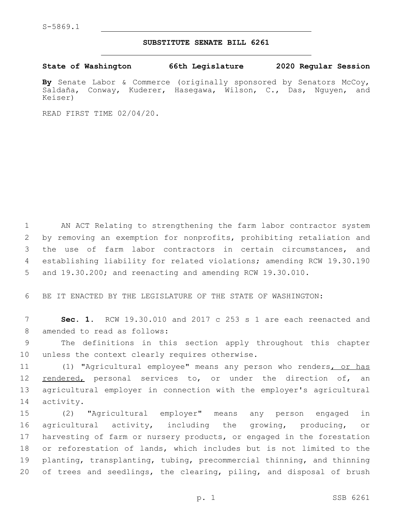## **SUBSTITUTE SENATE BILL 6261**

**State of Washington 66th Legislature 2020 Regular Session**

**By** Senate Labor & Commerce (originally sponsored by Senators McCoy, Saldaña, Conway, Kuderer, Hasegawa, Wilson, C., Das, Nguyen, and Keiser)

READ FIRST TIME 02/04/20.

 AN ACT Relating to strengthening the farm labor contractor system by removing an exemption for nonprofits, prohibiting retaliation and the use of farm labor contractors in certain circumstances, and establishing liability for related violations; amending RCW 19.30.190 and 19.30.200; and reenacting and amending RCW 19.30.010.

6 BE IT ENACTED BY THE LEGISLATURE OF THE STATE OF WASHINGTON:

7 **Sec. 1.** RCW 19.30.010 and 2017 c 253 s 1 are each reenacted and 8 amended to read as follows:

9 The definitions in this section apply throughout this chapter 10 unless the context clearly requires otherwise.

11 (1) "Agricultural employee" means any person who renders, or has 12 <u>rendered,</u> personal services to, or under the direction of, an 13 agricultural employer in connection with the employer's agricultural 14 activity.

 (2) "Agricultural employer" means any person engaged in agricultural activity, including the growing, producing, or harvesting of farm or nursery products, or engaged in the forestation or reforestation of lands, which includes but is not limited to the planting, transplanting, tubing, precommercial thinning, and thinning of trees and seedlings, the clearing, piling, and disposal of brush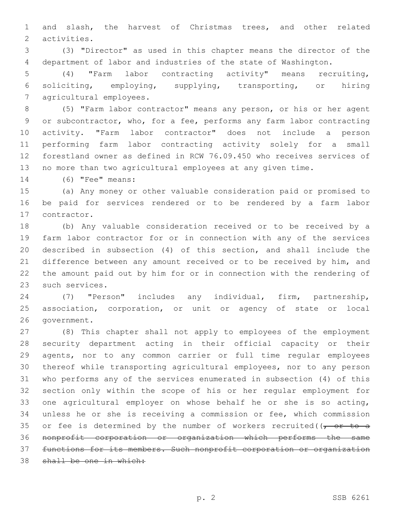and slash, the harvest of Christmas trees, and other related 2 activities.

 (3) "Director" as used in this chapter means the director of the department of labor and industries of the state of Washington.

 (4) "Farm labor contracting activity" means recruiting, soliciting, employing, supplying, transporting, or hiring 7 agricultural employees.

 (5) "Farm labor contractor" means any person, or his or her agent or subcontractor, who, for a fee, performs any farm labor contracting activity. "Farm labor contractor" does not include a person performing farm labor contracting activity solely for a small forestland owner as defined in RCW 76.09.450 who receives services of no more than two agricultural employees at any given time.

14 (6) **"Fee"** means:

 (a) Any money or other valuable consideration paid or promised to be paid for services rendered or to be rendered by a farm labor 17 contractor.

 (b) Any valuable consideration received or to be received by a farm labor contractor for or in connection with any of the services described in subsection (4) of this section, and shall include the difference between any amount received or to be received by him, and the amount paid out by him for or in connection with the rendering of 23 such services.

 (7) "Person" includes any individual, firm, partnership, association, corporation, or unit or agency of state or local 26 qovernment.

 (8) This chapter shall not apply to employees of the employment security department acting in their official capacity or their agents, nor to any common carrier or full time regular employees thereof while transporting agricultural employees, nor to any person who performs any of the services enumerated in subsection (4) of this section only within the scope of his or her regular employment for one agricultural employer on whose behalf he or she is so acting, unless he or she is receiving a commission or fee, which commission 35 or fee is determined by the number of workers recruited( $\sqrt{r}$  or to a nonprofit corporation or organization which performs the same functions for its members. Such nonprofit corporation or organization shall be one in which: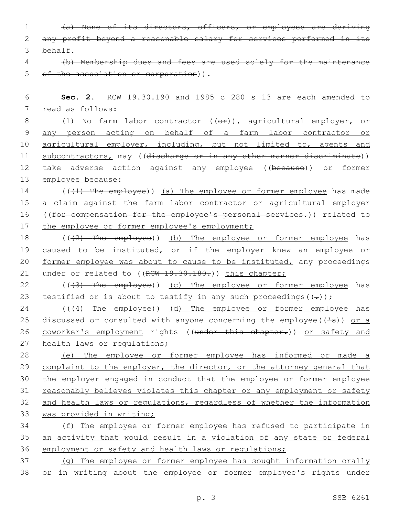| (a) None of its directors, officers, or employees are deriving<br>$1 \qquad \qquad$ |  |  |
|-------------------------------------------------------------------------------------|--|--|
| 2 any profit beyond a reasonable salary for services performed in its               |  |  |
| 3 <del>behalf.</del>                                                                |  |  |

4 (b) Membership dues and fees are used solely for the maintenance 5 of the association or corporation)).

6 **Sec. 2.** RCW 19.30.190 and 1985 c 280 s 13 are each amended to 7 read as follows:

8 (1) No farm labor contractor ((or)), agricultural employer, or 9 any person acting on behalf of a farm labor contractor or 10 agricultural employer, including, but not limited to, agents and 11 subcontractors, may ((discharge or in any other manner discriminate)) 12 take adverse action against any employee ((because)) or former 13 employee because:

14 ((+1) The employee)) (a) The employee or former employee has made 15 a claim against the farm labor contractor or agricultural employer 16 ((for compensation for the employee's personal services.)) related to 17 the employee or former employee's employment;

18 (((2) The employee)) (b) The employee or former employee has 19 caused to be instituted, or if the employer knew an employee or 20 former employee was about to cause to be instituted, any proceedings 21 under or related to ((RCW 19.30.180.)) this chapter;

22 (((3) The employee)) (c) The employee or former employee has 23 testified or is about to testify in any such proceedings( $(-)$ );

24 (((4) The employee)) (d) The employee or former employee has 25 discussed or consulted with anyone concerning the employee( $(\frac{1}{s})$ ) or a 26 coworker's employment rights ((under this chapter.)) or safety and 27 health laws or regulations;

 (e) The employee or former employee has informed or made a 29 complaint to the employer, the director, or the attorney general that 30 the employer engaged in conduct that the employee or former employee reasonably believes violates this chapter or any employment or safety and health laws or regulations, regardless of whether the information was provided in writing;

34 (f) The employee or former employee has refused to participate in 35 an activity that would result in a violation of any state or federal 36 employment or safety and health laws or regulations;

37 (g) The employee or former employee has sought information orally 38 or in writing about the employee or former employee's rights under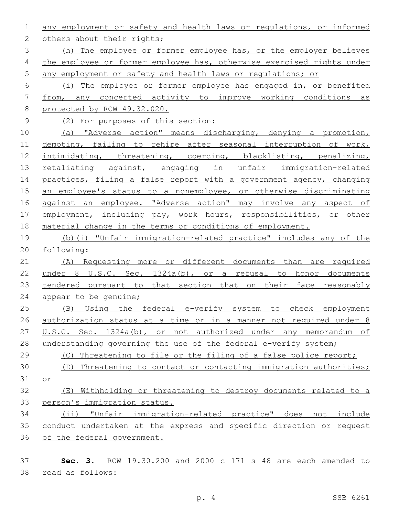any employment or safety and health laws or regulations, or informed 2 others about their rights; (h) The employee or former employee has, or the employer believes the employee or former employee has, otherwise exercised rights under any employment or safety and health laws or regulations; or (i) The employee or former employee has engaged in, or benefited from, any concerted activity to improve working conditions as protected by RCW 49.32.020. (2) For purposes of this section: (a) "Adverse action" means discharging, denying a promotion, demoting, failing to rehire after seasonal interruption of work, 12 intimidating, threatening, coercing, blacklisting, penalizing, 13 retaliating against, engaging in unfair immigration-related 14 practices, filing a false report with a government agency, changing 15 an employee's status to a nonemployee, or otherwise discriminating 16 against an employee. "Adverse action" may involve any aspect of 17 employment, including pay, work hours, responsibilities, or other 18 material change in the terms or conditions of employment. (b)(i) "Unfair immigration-related practice" includes any of the following: (A) Requesting more or different documents than are required under 8 U.S.C. Sec. 1324a(b), or a refusal to honor documents tendered pursuant to that section that on their face reasonably appear to be genuine; (B) Using the federal e-verify system to check employment authorization status at a time or in a manner not required under 8 U.S.C. Sec. 1324a(b), or not authorized under any memorandum of 28 understanding governing the use of the federal e-verify system; (C) Threatening to file or the filing of a false police report; (D) Threatening to contact or contacting immigration authorities; or (E) Withholding or threatening to destroy documents related to a person's immigration status. (ii) "Unfair immigration-related practice" does not include conduct undertaken at the express and specific direction or request of the federal government.

 **Sec. 3.** RCW 19.30.200 and 2000 c 171 s 48 are each amended to read as follows:38